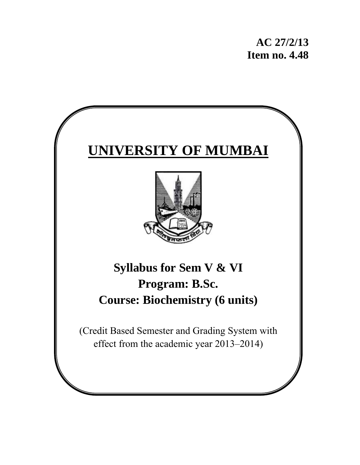**AC 27/2/13 Item no. 4.48** 

# **UNIVERSITY OF MUMBAI**



## **Syllabus for Sem V & VI Program: B.Sc. Course: Biochemistry (6 units)**

(Credit Based Semester and Grading System with effect from the academic year 2013–2014)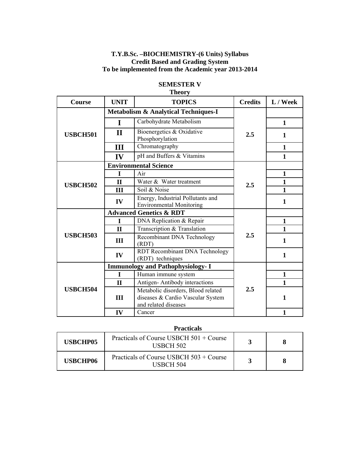#### **T.Y.B.Sc. –BIOCHEMISTRY-(6 Units) Syllabus Credit Based and Grading System To be implemented from the Academic year 2013-2014**

|                 |              | т пеог у                                                                                        |                |              |
|-----------------|--------------|-------------------------------------------------------------------------------------------------|----------------|--------------|
| Course          | <b>UNIT</b>  | <b>TOPICS</b>                                                                                   | <b>Credits</b> | L / Week     |
|                 |              | <b>Metabolism &amp; Analytical Techniques-I</b>                                                 |                |              |
|                 | $\mathbf I$  | Carbohydrate Metabolism                                                                         |                | $\mathbf{1}$ |
| <b>USBCH501</b> | $\mathbf H$  | Bioenergetics & Oxidative<br>Phosphorylation                                                    | 2.5            | 1            |
|                 | III          | Chromatography                                                                                  |                | $\mathbf{1}$ |
|                 | IV           | pH and Buffers & Vitamins                                                                       |                | 1            |
|                 |              | <b>Environmental Science</b>                                                                    |                |              |
|                 | L            | Air                                                                                             |                | $\mathbf{1}$ |
| <b>USBCH502</b> | $\mathbf{I}$ | Water & Water treatment                                                                         | 2.5            | $\mathbf{1}$ |
|                 | III          | Soil & Noise                                                                                    |                | 1            |
|                 | IV           | Energy, Industrial Pollutants and<br><b>Environmental Monitoring</b>                            |                | 1            |
|                 |              | <b>Advanced Genetics &amp; RDT</b>                                                              |                |              |
|                 | I            | DNA Replication & Repair                                                                        |                | $\mathbf{1}$ |
|                 | $\mathbf{I}$ | Transcription & Translation                                                                     |                | 1            |
| <b>USBCH503</b> | Ш            | Recombinant DNA Technology<br>(RDT)                                                             | 2.5            | 1            |
|                 | IV           | RDT Recombinant DNA Technology<br>(RDT) techniques                                              |                | $\mathbf{1}$ |
|                 |              | <b>Immunology and Pathophysiology- I</b>                                                        |                |              |
|                 | $\mathbf I$  | Human immune system                                                                             |                | $\mathbf{1}$ |
|                 | $\mathbf{I}$ | Antigen-Antibody interactions                                                                   |                | 1            |
| <b>USBCH504</b> | III          | Metabolic disorders, Blood related<br>diseases & Cardio Vascular System<br>and related diseases | 2.5            | 1            |
|                 | IV           | Cancer                                                                                          |                | $\mathbf{1}$ |

#### **SEMESTER V Theory**

#### **Practicals**

| <b>USBCHP05</b> | Practicals of Course USBCH 501 + Course<br>USBCH 502 |  |
|-----------------|------------------------------------------------------|--|
| <b>USBCHP06</b> | Practicals of Course USBCH 503 + Course<br>USBCH 504 |  |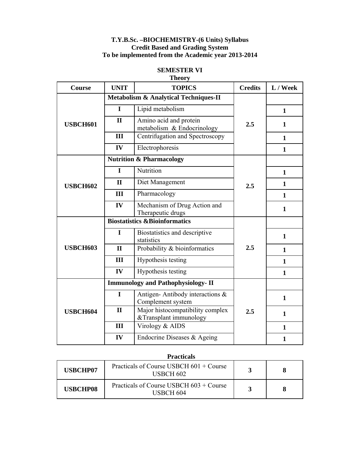#### **T.Y.B.Sc. –BIOCHEMISTRY-(6 Units) Syllabus Credit Based and Grading System To be implemented from the Academic year 2013-2014**

|                 | <b>Theory</b> |                                                            |                |              |  |
|-----------------|---------------|------------------------------------------------------------|----------------|--------------|--|
| Course          | <b>UNIT</b>   | <b>TOPICS</b>                                              | <b>Credits</b> | L / Week     |  |
|                 |               | <b>Metabolism &amp; Analytical Techniques-II</b>           |                |              |  |
|                 | I             | Lipid metabolism                                           |                | $\mathbf{1}$ |  |
| <b>USBCH601</b> | $\mathbf{I}$  | Amino acid and protein<br>metabolism & Endocrinology       | 2.5            | 1            |  |
|                 | III           | Centrifugation and Spectroscopy                            |                | 1            |  |
|                 | IV            | Electrophoresis                                            |                | 1            |  |
|                 |               | <b>Nutrition &amp; Pharmacology</b>                        |                |              |  |
|                 | I             | Nutrition                                                  |                | $\mathbf{1}$ |  |
| <b>USBCH602</b> | $\mathbf{I}$  | Diet Management                                            | 2.5            | $\mathbf{1}$ |  |
|                 | III           | Pharmacology                                               |                | $\mathbf{1}$ |  |
|                 | IV            | Mechanism of Drug Action and<br>Therapeutic drugs          |                | 1            |  |
|                 |               | <b>Biostatistics &amp;Bioinformatics</b>                   |                |              |  |
|                 | I             | Biostatistics and descriptive<br>statistics                |                | $\mathbf{1}$ |  |
| <b>USBCH603</b> | $\mathbf{I}$  | Probability & bioinformatics                               | 2.5            | $\mathbf{1}$ |  |
|                 | III           | Hypothesis testing                                         |                | $\mathbf{1}$ |  |
|                 | IV            | Hypothesis testing                                         |                | $\mathbf{1}$ |  |
|                 |               | <b>Immunology and Pathophysiology- II</b>                  |                |              |  |
|                 | $\mathbf I$   | Antigen-Antibody interactions &<br>Complement system       |                | 1            |  |
| <b>USBCH604</b> | $\mathbf{I}$  | Major histocompatibility complex<br>&Transplant immunology | 2.5            | $\mathbf{1}$ |  |
|                 | III           | Virology & AIDS                                            |                | 1            |  |
|                 | IV            | Endocrine Diseases & Ageing                                |                | $\mathbf{1}$ |  |

### **SEMESTER VI**

#### **Practicals**

| USBCHP07        | Practicals of Course USBCH 601 + Course<br><b>USBCH 602</b> |  |
|-----------------|-------------------------------------------------------------|--|
| <b>USBCHP08</b> | Practicals of Course USBCH 603 + Course<br>USBCH 604        |  |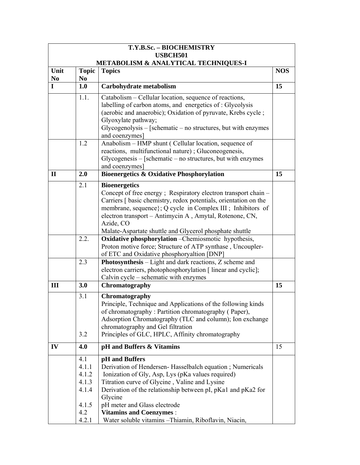|                | T.Y.B.Sc. - BIOCHEMISTRY<br><b>USBCH501</b>     |                                                                                                                      |            |  |  |
|----------------|-------------------------------------------------|----------------------------------------------------------------------------------------------------------------------|------------|--|--|
|                | <b>METABOLISM &amp; ANALYTICAL TECHNIQUES-I</b> |                                                                                                                      |            |  |  |
| Unit           | <b>Topic</b>                                    | <b>Topics</b>                                                                                                        | <b>NOS</b> |  |  |
| N <sub>0</sub> | N <sub>0</sub>                                  |                                                                                                                      |            |  |  |
| $\mathbf I$    | 1.0                                             | Carbohydrate metabolism                                                                                              | 15         |  |  |
|                | 1.1.                                            | Catabolism – Cellular location, sequence of reactions,                                                               |            |  |  |
|                |                                                 | labelling of carbon atoms, and energetics of : Glycolysis                                                            |            |  |  |
|                |                                                 | (aerobic and anaerobic); Oxidation of pyruvate, Krebs cycle;                                                         |            |  |  |
|                |                                                 | Glyoxylate pathway;                                                                                                  |            |  |  |
|                |                                                 | $Glycogenolysis – [schematic – no structures, but with enzymes]$<br>and coenzymes]                                   |            |  |  |
|                | 1.2                                             | Anabolism - HMP shunt (Cellular location, sequence of                                                                |            |  |  |
|                |                                                 | reactions, multifunctional nature); Gluconeogenesis,                                                                 |            |  |  |
|                |                                                 | $Glycogenesis – [schematic – no structures, but with enzymes]$                                                       |            |  |  |
|                |                                                 | and coenzymes]                                                                                                       |            |  |  |
| $\mathbf{I}$   | 2.0                                             | <b>Bioenergetics &amp; Oxidative Phosphorylation</b>                                                                 | 15         |  |  |
|                | 2.1                                             | <b>Bioenergetics</b>                                                                                                 |            |  |  |
|                |                                                 | Concept of free energy; Respiratory electron transport chain –                                                       |            |  |  |
|                |                                                 | Carriers [ basic chemistry, redox potentials, orientation on the                                                     |            |  |  |
|                |                                                 | membrane, sequence; Q cycle in Complex III; Inhibitors of<br>electron transport - Antimycin A, Amytal, Rotenone, CN, |            |  |  |
|                |                                                 | Azide, CO                                                                                                            |            |  |  |
|                |                                                 | Malate-Aspartate shuttle and Glycerol phosphate shuttle                                                              |            |  |  |
|                | 2.2.                                            | Oxidative phosphorylation - Chemiosmotic hypothesis,                                                                 |            |  |  |
|                |                                                 | Proton motive force; Structure of ATP synthase, Uncoupler-                                                           |            |  |  |
|                |                                                 | of ETC and Oxidative phosphoryaltion [DNP]                                                                           |            |  |  |
|                | 2.3                                             | Photosynthesis - Light and dark reactions, Z scheme and                                                              |            |  |  |
|                |                                                 | electron carriers, photophosphorylation [ linear and cyclic];<br>Calvin cycle - schematic with enzymes               |            |  |  |
| III            | 3.0                                             | Chromatography                                                                                                       | 15         |  |  |
|                |                                                 |                                                                                                                      |            |  |  |
|                | 3.1                                             | Chromatography<br>Principle, Technique and Applications of the following kinds                                       |            |  |  |
|                |                                                 | of chromatography: Partition chromatography (Paper),                                                                 |            |  |  |
|                |                                                 | Adsorption Chromatography (TLC and column); Ion exchange                                                             |            |  |  |
|                |                                                 | chromatography and Gel filtration                                                                                    |            |  |  |
|                | 3.2                                             | Principles of GLC, HPLC, Affinity chromatography                                                                     |            |  |  |
| IV             | 4.0                                             | pH and Buffers & Vitamins                                                                                            | 15         |  |  |
|                | 4.1                                             | pH and Buffers                                                                                                       |            |  |  |
|                | 4.1.1                                           | Derivation of Hendersen-Hasselbalch equation; Numericals                                                             |            |  |  |
|                | 4.1.2                                           | Ionization of Gly, Asp, Lys (pKa values required)                                                                    |            |  |  |
|                | 4.1.3                                           | Titration curve of Glycine, Valine and Lysine                                                                        |            |  |  |
|                | 4.1.4                                           | Derivation of the relationship between pI, pKa1 and pKa2 for                                                         |            |  |  |
|                | 4.1.5                                           | Glycine<br>pH meter and Glass electrode                                                                              |            |  |  |
|                | 4.2                                             | <b>Vitamins and Coenzymes:</b>                                                                                       |            |  |  |
|                | 4.2.1                                           | Water soluble vitamins - Thiamin, Riboflavin, Niacin,                                                                |            |  |  |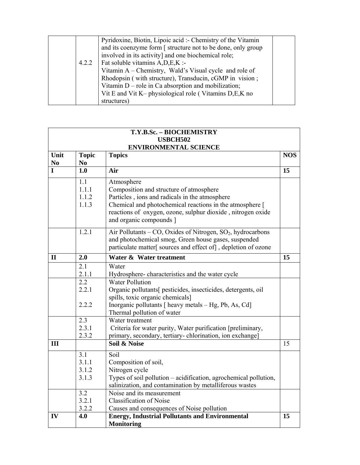| 4.2.2 | Pyridoxine, Biotin, Lipoic acid :- Chemistry of the Vitamin<br>and its coenzyme form [ structure not to be done, only group<br>involved in its activity] and one biochemical role;<br>Fat soluble vitamins A, D, E, K:-<br>Vitamin A – Chemistry, Wald's Visual cycle and role of<br>Rhodopsin (with structure), Transducin, cGMP in vision;<br>Vitamin $D$ – role in Ca absorption and mobilization;<br>Vit E and Vit K- physiological role (Vitamins D,E,K no |  |
|-------|-----------------------------------------------------------------------------------------------------------------------------------------------------------------------------------------------------------------------------------------------------------------------------------------------------------------------------------------------------------------------------------------------------------------------------------------------------------------|--|
|       | structures)                                                                                                                                                                                                                                                                                                                                                                                                                                                     |  |

|                        |                                | T.Y.B.Sc. - BIOCHEMISTRY                                                                                                                                                                                                                                      |            |
|------------------------|--------------------------------|---------------------------------------------------------------------------------------------------------------------------------------------------------------------------------------------------------------------------------------------------------------|------------|
|                        |                                | <b>USBCH502</b><br><b>ENVIRONMENTAL SCIENCE</b>                                                                                                                                                                                                               |            |
| Unit<br>N <sub>0</sub> | <b>Topic</b><br>N <sub>0</sub> | <b>Topics</b>                                                                                                                                                                                                                                                 | <b>NOS</b> |
| $\mathbf{I}$           | 1.0                            | Air                                                                                                                                                                                                                                                           | 15         |
|                        | 1.1<br>1.1.1<br>1.1.2<br>1.1.3 | Atmosphere<br>Composition and structure of atmosphere<br>Particles, ions and radicals in the atmosphere<br>Chemical and photochemical reactions in the atmosphere [<br>reactions of oxygen, ozone, sulphur dioxide, nitrogen oxide<br>and organic compounds ] |            |
|                        | 1.2.1                          | Air Pollutants - CO, Oxides of Nitrogen, SO <sub>2</sub> , hydrocarbons<br>and photochemical smog, Green house gases, suspended<br>particulate matter[ sources and effect of], depletion of ozone                                                             |            |
| $\mathbf{I}$           | 2.0                            | Water & Water treatment                                                                                                                                                                                                                                       | 15         |
|                        | 2.1<br>2.1.1                   | Water                                                                                                                                                                                                                                                         |            |
|                        | 2.2                            | Hydrosphere-characteristics and the water cycle<br><b>Water Pollution</b>                                                                                                                                                                                     |            |
|                        | 2.2.1                          | Organic pollutants[ pesticides, insecticides, detergents, oil                                                                                                                                                                                                 |            |
|                        | 2.2.2                          | spills, toxic organic chemicals]<br>Inorganic pollutants $\lceil$ heavy metals $-$ Hg, Pb, As, Cd $\lceil$<br>Thermal pollution of water                                                                                                                      |            |
|                        | 2.3                            | Water treatment                                                                                                                                                                                                                                               |            |
|                        | 2.3.1<br>2.3.2                 | Criteria for water purity, Water purification [preliminary,<br>primary, secondary, tertiary-chlorination, ion exchange]                                                                                                                                       |            |
| III                    |                                | Soil & Noise                                                                                                                                                                                                                                                  | 15         |
|                        | 3.1<br>3.1.1<br>3.1.2<br>3.1.3 | Soil<br>Composition of soil,<br>Nitrogen cycle<br>Types of soil pollution - acidification, agrochemical pollution,<br>salinization, and contamination by metalliferous wastes                                                                                 |            |
|                        | 3.2                            | Noise and its measurement                                                                                                                                                                                                                                     |            |
|                        | 3.2.1                          | <b>Classification of Noise</b>                                                                                                                                                                                                                                |            |
|                        | 3.2.2                          | Causes and consequences of Noise pollution                                                                                                                                                                                                                    |            |
| IV                     | 4.0                            | <b>Energy, Industrial Pollutants and Environmental</b><br><b>Monitoring</b>                                                                                                                                                                                   | 15         |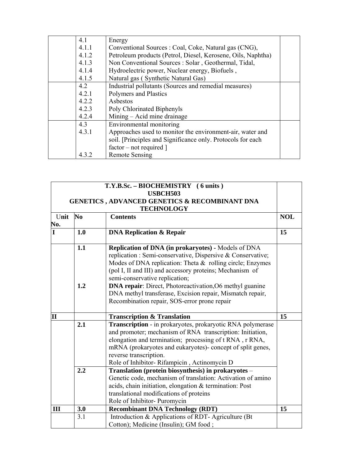| 4.1   | Energy                                                       |  |
|-------|--------------------------------------------------------------|--|
| 4.1.1 | Conventional Sources : Coal, Coke, Natural gas (CNG),        |  |
| 4.1.2 | Petroleum products (Petrol, Diesel, Kerosene, Oils, Naphtha) |  |
| 4.1.3 | Non Conventional Sources : Solar, Geothermal, Tidal,         |  |
| 4.1.4 | Hydroelectric power, Nuclear energy, Biofuels,               |  |
| 4.1.5 | Natural gas (Synthetic Natural Gas)                          |  |
| 4.2   | Industrial pollutants (Sources and remedial measures)        |  |
| 4.2.1 | Polymers and Plastics                                        |  |
| 4.2.2 | Asbestos                                                     |  |
| 4.2.3 | Poly Chlorinated Biphenyls                                   |  |
| 4.2.4 | Mining – Acid mine drainage                                  |  |
| 4.3   | Environmental monitoring                                     |  |
| 4.3.1 | Approaches used to monitor the environment-air, water and    |  |
|       | soil. [Principles and Significance only. Protocols for each  |  |
|       | $factor - not required$ ]                                    |  |
| 4.3.2 | <b>Remote Sensing</b>                                        |  |

|              |                | T.Y.B.Sc. - BIOCHEMISTRY (6 units)<br><b>USBCH503</b><br><b>GENETICS, ADVANCED GENETICS &amp; RECOMBINANT DNA</b><br><b>TECHNOLOGY</b>                                                                                                                                                                                                                                                                                                                           |            |
|--------------|----------------|------------------------------------------------------------------------------------------------------------------------------------------------------------------------------------------------------------------------------------------------------------------------------------------------------------------------------------------------------------------------------------------------------------------------------------------------------------------|------------|
| Unit<br>No.  | N <sub>0</sub> | <b>Contents</b>                                                                                                                                                                                                                                                                                                                                                                                                                                                  | <b>NOL</b> |
| L            | 1.0            | <b>DNA Replication &amp; Repair</b>                                                                                                                                                                                                                                                                                                                                                                                                                              | 15         |
|              | 1.1<br>1.2     | Replication of DNA (in prokaryotes) - Models of DNA<br>replication : Semi-conservative, Dispersive & Conservative;<br>Modes of DNA replication: Theta $\&$ rolling circle; Enzymes<br>(pol I, II and III) and accessory proteins; Mechanism of<br>semi-conservative replication;<br><b>DNA repair:</b> Direct, Photoreactivation, O6 methyl guanine<br>DNA methyl transferase, Excision repair, Mismatch repair,<br>Recombination repair, SOS-error prone repair |            |
| $\mathbf{I}$ |                | <b>Transcription &amp; Translation</b>                                                                                                                                                                                                                                                                                                                                                                                                                           | 15         |
|              | 2.1            | Transcription - in prokaryotes, prokaryotic RNA polymerase<br>and promoter; mechanism of RNA transcription: Initiation,<br>elongation and termination; processing of t RNA, r RNA,<br>mRNA (prokaryotes and eukaryotes)- concept of split genes,<br>reverse transcription.<br>Role of Inhibitor-Rifampicin , Actinomycin D                                                                                                                                       |            |
|              | 2.2            | Translation (protein biosynthesis) in prokaryotes -<br>Genetic code, mechanism of translation: Activation of amino<br>acids, chain initiation, elongation & termination: Post<br>translational modifications of proteins<br>Role of Inhibitor-Puromycin                                                                                                                                                                                                          |            |
| Ш            | 3.0            | <b>Recombinant DNA Technology (RDT)</b>                                                                                                                                                                                                                                                                                                                                                                                                                          | 15         |
|              | 3.1            | Introduction & Applications of RDT-Agriculture (Bt)<br>Cotton); Medicine (Insulin); GM food ;                                                                                                                                                                                                                                                                                                                                                                    |            |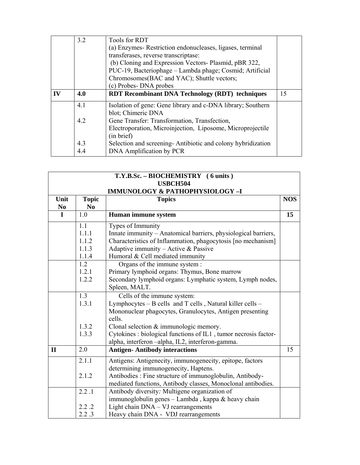|    | 3.2 | <b>Tools for RDT</b>                                        |    |
|----|-----|-------------------------------------------------------------|----|
|    |     | (a) Enzymes-Restriction endonucleases, ligases, terminal    |    |
|    |     | transferases, reverse transcriptase:                        |    |
|    |     | (b) Cloning and Expression Vectors- Plasmid, pBR 322,       |    |
|    |     | PUC-19, Bacteriophage - Lambda phage; Cosmid; Artificial    |    |
|    |     | Chromosomes(BAC and YAC); Shuttle vectors;                  |    |
|    |     | (c) Probes-DNA probes                                       |    |
| IV | 4.0 | <b>RDT Recombinant DNA Technology (RDT) techniques</b>      | 15 |
|    | 4.1 | Isolation of gene: Gene library and c-DNA library; Southern |    |
|    |     | blot; Chimeric DNA                                          |    |
|    |     |                                                             |    |
|    | 4.2 | Gene Transfer: Transformation, Transfection,                |    |
|    |     | Electroporation, Microinjection, Liposome, Microprojectile  |    |
|    |     | (in brief)                                                  |    |
|    | 4.3 | Selection and screening-Antibiotic and colony hybridization |    |

| T.Y.B.Sc. - BIOCHEMISTRY (6 units)<br><b>USBCH504</b> |                                           |                                                                    |            |  |  |
|-------------------------------------------------------|-------------------------------------------|--------------------------------------------------------------------|------------|--|--|
|                                                       | <b>IMMUNOLOGY &amp; PATHOPHYSIOLOGY-I</b> |                                                                    |            |  |  |
| Unit                                                  | <b>Topic</b>                              | <b>Topics</b>                                                      | <b>NOS</b> |  |  |
| N <sub>0</sub>                                        | N <sub>0</sub>                            |                                                                    |            |  |  |
| $\mathbf I$                                           | 1.0                                       | Human immune system                                                | 15         |  |  |
|                                                       | 1.1                                       | Types of Immunity                                                  |            |  |  |
|                                                       | 1.1.1                                     | Innate immunity - Anatomical barriers, physiological barriers,     |            |  |  |
|                                                       | 1.1.2                                     | Characteristics of Inflammation, phagocytosis [no mechanism]       |            |  |  |
|                                                       | 1.1.3                                     | Adaptive immunity - Active & Passive                               |            |  |  |
|                                                       | 1.1.4                                     | Humoral & Cell mediated immunity                                   |            |  |  |
|                                                       | 1.2                                       | Organs of the immune system :                                      |            |  |  |
|                                                       | 1.2.1                                     | Primary lymphoid organs: Thymus, Bone marrow                       |            |  |  |
|                                                       | 1.2.2                                     | Secondary lymphoid organs: Lymphatic system, Lymph nodes,          |            |  |  |
|                                                       |                                           | Spleen, MALT.                                                      |            |  |  |
|                                                       | 1.3                                       | Cells of the immune system:                                        |            |  |  |
|                                                       | 1.3.1                                     | Lymphocytes - B cells and T cells, Natural killer cells -          |            |  |  |
|                                                       |                                           | Mononuclear phagocytes, Granulocytes, Antigen presenting<br>cells. |            |  |  |
|                                                       | 1.3.2                                     | Clonal selection $&$ immunologic memory.                           |            |  |  |
|                                                       | 1.3.3                                     | Cytokines : biological functions of IL1, tumor necrosis factor-    |            |  |  |
|                                                       |                                           | alpha, interferon-alpha, IL2, interferon-gamma.                    |            |  |  |
| $\mathbf{I}$                                          | 2.0                                       | <b>Antigen-Antibody interactions</b>                               | 15         |  |  |
|                                                       | 2.1.1                                     | Antigens: Antigenecity, immunogenecity, epitope, factors           |            |  |  |
|                                                       |                                           | determining immunogenecity, Haptens.                               |            |  |  |
|                                                       | 2.1.2                                     | Antibodies : Fine structure of immunoglobulin, Antibody-           |            |  |  |
|                                                       |                                           | mediated functions, Antibody classes, Monoclonal antibodies.       |            |  |  |
|                                                       | 2.2.1                                     | Antibody diversity: Multigene organization of                      |            |  |  |
|                                                       |                                           | immunoglobulin genes - Lambda, kappa & heavy chain                 |            |  |  |
|                                                       | 2.2.2                                     | Light chain DNA - VJ rearrangements                                |            |  |  |
|                                                       | 2.2.3                                     | Heavy chain DNA - VDJ rearrangements                               |            |  |  |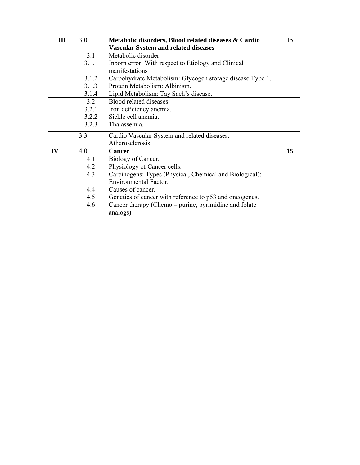| III | 3.0   | Metabolic disorders, Blood related diseases & Cardio      | 15 |
|-----|-------|-----------------------------------------------------------|----|
|     |       | <b>Vascular System and related diseases</b>               |    |
|     | 3.1   | Metabolic disorder                                        |    |
|     | 3.1.1 | Inborn error: With respect to Etiology and Clinical       |    |
|     |       | manifestations                                            |    |
|     | 3.1.2 | Carbohydrate Metabolism: Glycogen storage disease Type 1. |    |
|     | 3.1.3 | Protein Metabolism: Albinism.                             |    |
|     | 3.1.4 | Lipid Metabolism: Tay Sach's disease.                     |    |
|     | 3.2   | Blood related diseases                                    |    |
|     | 3.2.1 | Iron deficiency anemia.                                   |    |
|     | 3.2.2 | Sickle cell anemia.                                       |    |
|     | 3.2.3 | Thalassemia.                                              |    |
|     | 3.3   | Cardio Vascular System and related diseases:              |    |
|     |       | Atherosclerosis.                                          |    |
| IV  | 4.0   | <b>Cancer</b>                                             | 15 |
|     | 4.1   | Biology of Cancer.                                        |    |
|     | 4.2   | Physiology of Cancer cells.                               |    |
|     | 4.3   | Carcinogens: Types (Physical, Chemical and Biological);   |    |
|     |       | <b>Environmental Factor.</b>                              |    |
|     | 4.4   | Causes of cancer.                                         |    |
|     | 4.5   | Genetics of cancer with reference to p53 and oncogenes.   |    |
|     | 4.6   | Cancer therapy (Chemo – purine, pyrimidine and folate     |    |
|     |       | analogs)                                                  |    |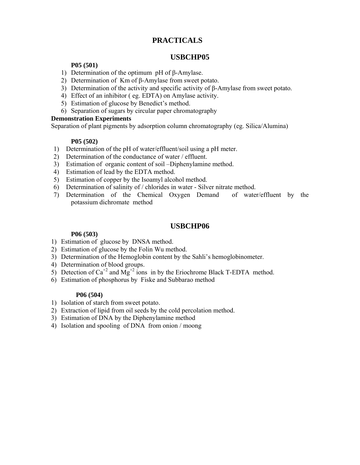### **PRACTICALS**

### **USBCHP05**

#### **P05 (501)**

- 1) Determination of the optimum pH of β-Amylase.
- 2) Determination of Km of β-Amylase from sweet potato.
- 3) Determination of the activity and specific activity of β-Amylase from sweet potato.
- 4) Effect of an inhibitor ( eg. EDTA) on Amylase activity.
- 5) Estimation of glucose by Benedict's method.
- 6) Separation of sugars by circular paper chromatography

#### **Demonstration Experiments**

Separation of plant pigments by adsorption column chromatography (eg. Silica/Alumina)

#### **P05 (502)**

- 1) Determination of the pH of water/effluent/soil using a pH meter.
- 2) Determination of the conductance of water / effluent.
- 3) Estimation of organic content of soil –Diphenylamine method.
- 4) Estimation of lead by the EDTA method.
- 5) Estimation of copper by the Isoamyl alcohol method.
- 6) Determination of salinity of / chlorides in water Silver nitrate method.
- 7) Determination of the Chemical Oxygen Demand of water/effluent by the potassium dichromate method

#### **USBCHP06**

#### **P06 (503)**

- 1) Estimation of glucose by DNSA method.
- 2) Estimation of glucose by the Folin Wu method.
- 3) Determination of the Hemoglobin content by the Sahli's hemoglobinometer.
- 4) Determination of blood groups.
- 5) Detection of  $Ca^{+2}$  and  $Mg^{+2}$  ions in by the Eriochrome Black T-EDTA method.
- 6) Estimation of phosphorus by Fiske and Subbarao method

#### **P06 (504)**

- 1) Isolation of starch from sweet potato.
- 2) Extraction of lipid from oil seeds by the cold percolation method.
- 3) Estimation of DNA by the Diphenylamine method
- 4) Isolation and spooling of DNA from onion / moong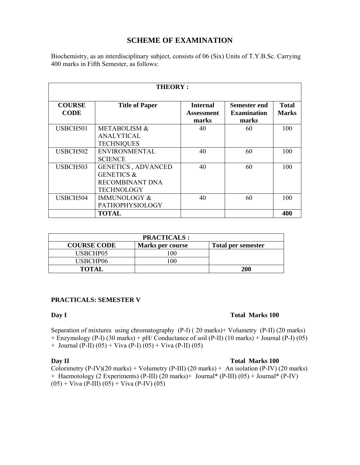#### **SCHEME OF EXAMINATION**

Biochemistry, as an interdisciplinary subject, consists of 06 (Six) Units of T.Y.B.Sc. Carrying 400 marks in Fifth Semester, as follows:

| <b>THEORY:</b>               |                                                                                                   |                                        |                                             |                              |
|------------------------------|---------------------------------------------------------------------------------------------------|----------------------------------------|---------------------------------------------|------------------------------|
| <b>COURSE</b><br><b>CODE</b> | <b>Title of Paper</b>                                                                             | <b>Internal</b><br>Assessment<br>marks | Semester end<br><b>Examination</b><br>marks | <b>Total</b><br><b>Marks</b> |
| USBCH501                     | <b>METABOLISM &amp;</b><br><b>ANALYTICAL</b><br><b>TECHNIQUES</b>                                 | 40                                     | 60                                          | 100                          |
| USBCH502                     | <b>ENVIRONMENTAL</b><br><b>SCIENCE</b>                                                            | 40                                     | 60                                          | 100                          |
| USBCH503                     | <b>GENETICS, ADVANCED</b><br><b>GENETICS &amp;</b><br><b>RECOMBINANT DNA</b><br><b>TECHNOLOGY</b> | 40                                     | 60                                          | 100                          |
| USBCH504                     | <b>IMMUNOLOGY &amp;</b><br><b>PATHOPHYSIOLOGY</b>                                                 | 40                                     | 60                                          | 100                          |
|                              | <b>TOTAL</b>                                                                                      |                                        |                                             | 400                          |

| <b>PRACTICALS:</b> |                  |                    |  |  |
|--------------------|------------------|--------------------|--|--|
| <b>COURSE CODE</b> | Marks per course | Total per semester |  |  |
| USBCHP05           | 00               |                    |  |  |
| USBCHP06           | 00               |                    |  |  |
| <b>TOTAL</b>       |                  | <b>200</b>         |  |  |

#### **PRACTICALS: SEMESTER V**

#### **Day I** Total Marks 100

Separation of mixtures using chromatography (P-I) ( 20 marks)+ Volumetry (P-II) (20 marks) + Enzymology (P-I) (30 marks) + pH/ Conductance of soil (P-II) (10 marks) + Journal (P-I) (05) + Journal (P-II) (05) + Viva (P-I) (05) + Viva (P-II) (05)

#### **Day II** Total Marks 100

Colorimetry  $(P-IV)(20$  marks) + Volumetry  $(P-III)$   $(20$  marks) + An isolation  $(P-IV)$   $(20$  marks) + Haemotology (2 Experiments) (P-III) (20 marks)+ Journal\* (P-III) (05) + Journal\* (P-IV)  $(05) +$  Viva (P-III)  $(05) +$  Viva (P-IV)  $(05)$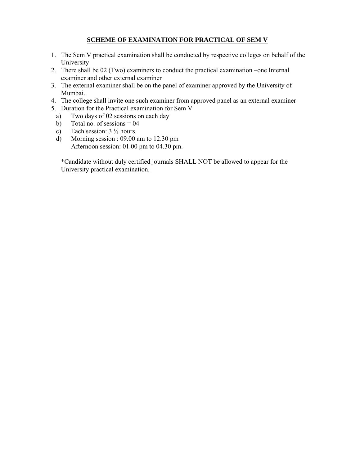#### **SCHEME OF EXAMINATION FOR PRACTICAL OF SEM V**

- 1. The Sem V practical examination shall be conducted by respective colleges on behalf of the University
- 2. There shall be 02 (Two) examiners to conduct the practical examination –one Internal examiner and other external examiner
- 3. The external examiner shall be on the panel of examiner approved by the University of Mumbai.
- 4. The college shall invite one such examiner from approved panel as an external examiner
- 5. Duration for the Practical examination for Sem V
- a) Two days of 02 sessions on each day
- b) Total no. of sessions  $= 04$
- c) Each session:  $3\frac{1}{2}$  hours.
- d) Morning session : 09.00 am to 12.30 pm Afternoon session: 01.00 pm to 04.30 pm.

\*Candidate without duly certified journals SHALL NOT be allowed to appear for the University practical examination.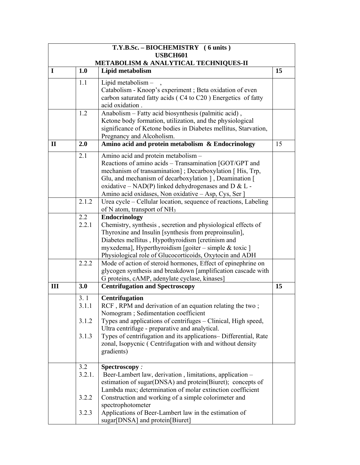|              |              | T.Y.B.Sc. - BIOCHEMISTRY (6 units)                                                                                |    |
|--------------|--------------|-------------------------------------------------------------------------------------------------------------------|----|
|              |              | <b>USBCH601</b><br>METABOLISM & ANALYTICAL TECHNIQUES-II                                                          |    |
| $\mathbf I$  | 1.0          | Lipid metabolism                                                                                                  | 15 |
|              |              |                                                                                                                   |    |
|              | 1.1          | Lipid metabolism -                                                                                                |    |
|              |              | Catabolism - Knoop's experiment ; Beta oxidation of even                                                          |    |
|              |              | carbon saturated fatty acids (C4 to C20) Energetics of fatty<br>acid oxidation.                                   |    |
|              | 1.2          | Anabolism - Fatty acid biosynthesis (palmitic acid),                                                              |    |
|              |              | Ketone body formation, utilization, and the physiological                                                         |    |
|              |              | significance of Ketone bodies in Diabetes mellitus, Starvation,                                                   |    |
|              |              | Pregnancy and Alcoholism.                                                                                         |    |
| $\mathbf{I}$ | 2.0          | Amino acid and protein metabolism & Endocrinology                                                                 | 15 |
|              | 2.1          | Amino acid and protein metabolism -                                                                               |    |
|              |              | Reactions of amino acids - Transamination [GOT/GPT and                                                            |    |
|              |              | mechanism of transamination]; Decarboxylation [His, Trp,                                                          |    |
|              |              | Glu, and mechanism of decarboxylation ], Deamination [                                                            |    |
|              |              | oxidative – NAD(P) linked dehydrogenases and D & L -                                                              |    |
|              |              | Amino acid oxidases, Non oxidative – Asp, Cys, Ser ]                                                              |    |
|              | 2.1.2        | Urea cycle - Cellular location, sequence of reactions, Labeling                                                   |    |
|              |              | of N atom, transport of NH <sub>3</sub>                                                                           |    |
|              | 2.2<br>2.2.1 | <b>Endocrinology</b><br>Chemistry, synthesis, secretion and physiological effects of                              |    |
|              |              | Thyroxine and Insulin [synthesis from preproinsulin],                                                             |    |
|              |              | Diabetes mellitus, Hypothyroidism [cretinism and                                                                  |    |
|              |              | myxedema], Hyperthyroidism [goiter – simple & toxic ]                                                             |    |
|              |              | Physiological role of Glucocorticoids, Oxytocin and ADH                                                           |    |
|              | 2.2.2        | Mode of action of steroid hormones, Effect of epinephrine on                                                      |    |
|              |              | glycogen synthesis and breakdown [amplification cascade with                                                      |    |
|              |              | G proteins, cAMP, adenylate cyclase, kinases]                                                                     |    |
| III          | 3.0          | <b>Centrifugation and Spectroscopy</b>                                                                            | 15 |
|              | 3.1          | Centrifugation                                                                                                    |    |
|              | 3.1.1        | RCF, RPM and derivation of an equation relating the two;                                                          |    |
|              |              | Nomogram; Sedimentation coefficient                                                                               |    |
|              | 3.1.2        | Types and applications of centrifuges – Clinical, High speed,                                                     |    |
|              | 3.1.3        | Ultra centrifuge - preparative and analytical.<br>Types of centrifugation and its applications-Differential, Rate |    |
|              |              | zonal, Isopycnic (Centrifugation with and without density                                                         |    |
|              |              | gradients)                                                                                                        |    |
|              |              |                                                                                                                   |    |
|              | 3.2          | Spectroscopy:                                                                                                     |    |
|              | 3.2.1.       | Beer-Lambert law, derivation, limitations, application -                                                          |    |
|              |              | estimation of sugar(DNSA) and protein(Biuret); concepts of                                                        |    |
|              |              | Lambda max; determination of molar extinction coefficient                                                         |    |
|              | 3.2.2        | Construction and working of a simple colorimeter and                                                              |    |
|              |              | spectrophotometer                                                                                                 |    |
|              | 3.2.3        | Applications of Beer-Lambert law in the estimation of<br>sugar[DNSA] and protein[Biuret]                          |    |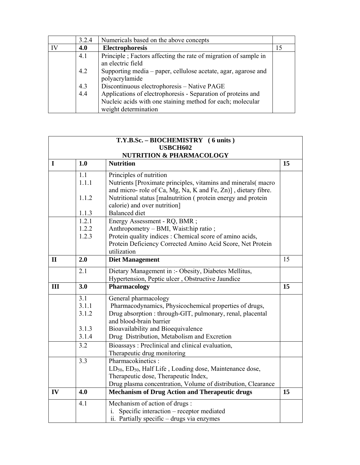|    | 3.2.4 | Numericals based on the above concepts                                                                                     |    |
|----|-------|----------------------------------------------------------------------------------------------------------------------------|----|
| IV | 4.0   | Electrophoresis                                                                                                            | 15 |
|    | 4.1   | Principle; Factors affecting the rate of migration of sample in<br>an electric field                                       |    |
|    | 4.2   | Supporting media – paper, cellulose acetate, agar, agarose and<br>polyacrylamide                                           |    |
|    | 4.3   | Discontinuous electrophoresis - Native PAGE                                                                                |    |
|    | 4.4   | Applications of electrophoresis - Separation of proteins and<br>Nucleic acids with one staining method for each; molecular |    |
|    |       | weight determination                                                                                                       |    |

|              |                                     | T.Y.B.Sc. - BIOCHEMISTRY (6 units)<br><b>USBCH602</b>                                                                         |    |  |  |
|--------------|-------------------------------------|-------------------------------------------------------------------------------------------------------------------------------|----|--|--|
|              | <b>NUTRITION &amp; PHARMACOLOGY</b> |                                                                                                                               |    |  |  |
| $\mathbf I$  | 1.0                                 | <b>Nutrition</b>                                                                                                              | 15 |  |  |
|              | 1.1                                 | Principles of nutrition                                                                                                       |    |  |  |
|              | 1.1.1                               | Nutrients [Proximate principles, vitamins and minerals(macro                                                                  |    |  |  |
|              | 1.1.2                               | and micro- role of Ca, Mg, Na, K and Fe, Zn)], dietary fibre.<br>Nutritional status [malnutrition (protein energy and protein |    |  |  |
|              |                                     | calorie) and over nutrition]                                                                                                  |    |  |  |
|              | 1.1.3                               | <b>Balanced</b> diet                                                                                                          |    |  |  |
|              | 1.2.1                               | Energy Assessment - RQ, BMR;                                                                                                  |    |  |  |
|              | 1.2.2                               | Anthropometry – BMI, Waist:hip ratio;                                                                                         |    |  |  |
|              | 1.2.3                               | Protein quality indices : Chemical score of amino acids,<br>Protein Deficiency Corrected Amino Acid Score, Net Protein        |    |  |  |
|              |                                     | utilization                                                                                                                   |    |  |  |
| $\mathbf{I}$ | 2.0                                 | <b>Diet Management</b>                                                                                                        | 15 |  |  |
|              | 2.1                                 | Dietary Management in :- Obesity, Diabetes Mellitus,                                                                          |    |  |  |
|              |                                     | Hypertension, Peptic ulcer, Obstructive Jaundice                                                                              |    |  |  |
| III          | 3.0                                 | Pharmacology                                                                                                                  | 15 |  |  |
|              | 3.1                                 | General pharmacology                                                                                                          |    |  |  |
|              | 3.1.1                               | Pharmacodynamics, Physicochemical properties of drugs,                                                                        |    |  |  |
|              | 3.1.2                               | Drug absorption : through-GIT, pulmonary, renal, placental<br>and blood-brain barrier                                         |    |  |  |
|              | 3.1.3                               | Bioavailability and Bioequivalence                                                                                            |    |  |  |
|              | 3.1.4                               | Drug Distribution, Metabolism and Excretion                                                                                   |    |  |  |
|              | 3.2                                 | Bioassays: Preclinical and clinical evaluation,                                                                               |    |  |  |
|              |                                     | Therapeutic drug monitoring                                                                                                   |    |  |  |
|              | 3.3                                 | Pharmacokinetics:                                                                                                             |    |  |  |
|              |                                     | $LD_{50}$ , $ED_{50}$ , Half Life, Loading dose, Maintenance dose,<br>Therapeutic dose, Therapeutic Index,                    |    |  |  |
|              |                                     | Drug plasma concentration, Volume of distribution, Clearance                                                                  |    |  |  |
| IV           | 4.0                                 | <b>Mechanism of Drug Action and Therapeutic drugs</b>                                                                         | 15 |  |  |
|              | 4.1                                 | Mechanism of action of drugs:                                                                                                 |    |  |  |
|              |                                     | Specific interaction - receptor mediated<br>İ.                                                                                |    |  |  |
|              |                                     | ii. Partially specific - drugs via enzymes                                                                                    |    |  |  |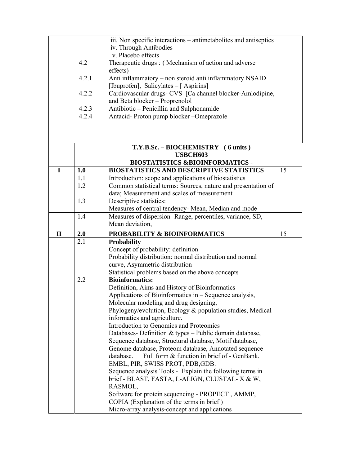|              |       | $\overline{iii}$ . Non specific interactions – antimetabolites and antiseptics |    |  |
|--------------|-------|--------------------------------------------------------------------------------|----|--|
|              |       |                                                                                |    |  |
|              |       | iv. Through Antibodies                                                         |    |  |
|              |       | v. Placebo effects                                                             |    |  |
|              | 4.2   | Therapeutic drugs : (Mechanism of action and adverse                           |    |  |
|              |       | effects)                                                                       |    |  |
|              | 4.2.1 | Anti inflammatory – non steroid anti inflammatory NSAID                        |    |  |
|              |       | [Ibuprofen], Salicylates - [Aspirins]                                          |    |  |
|              | 4.2.2 | Cardiovascular drugs- CVS [Ca channel blocker-Amlodipine,                      |    |  |
|              |       | and Beta blocker - Proprenolol                                                 |    |  |
|              | 4.2.3 | Antibiotic - Penicillin and Sulphonamide                                       |    |  |
|              |       |                                                                                |    |  |
|              | 4.2.4 | Antacid-Proton pump blocker-Omeprazole                                         |    |  |
|              |       |                                                                                |    |  |
|              |       |                                                                                |    |  |
|              |       | T.Y.B.Sc. - BIOCHEMISTRY (6 units)                                             |    |  |
|              |       | <b>USBCH603</b>                                                                |    |  |
|              |       | <b>BIOSTATISTICS &amp;BIOINFORMATICS -</b>                                     |    |  |
| $\mathbf I$  | 1.0   | <b>BIOSTATISTICS AND DESCRIPTIVE STATISTICS</b>                                | 15 |  |
|              |       |                                                                                |    |  |
|              | 1.1   | Introduction: scope and applications of biostatistics                          |    |  |
|              | 1.2   | Common statistical terms: Sources, nature and presentation of                  |    |  |
|              |       | data; Measurement and scales of measurement                                    |    |  |
|              | 1.3   | Descriptive statistics:                                                        |    |  |
|              |       | Measures of central tendency- Mean, Median and mode                            |    |  |
|              | 1.4   | Measures of dispersion-Range, percentiles, variance, SD,                       |    |  |
|              |       | Mean deviation,                                                                |    |  |
| $\mathbf{I}$ | 2.0   | PROBABILITY & BIOINFORMATICS                                                   | 15 |  |
|              | 2.1   | <b>Probability</b>                                                             |    |  |
|              |       | Concept of probability: definition                                             |    |  |
|              |       | Probability distribution: normal distribution and normal                       |    |  |
|              |       |                                                                                |    |  |
|              |       | curve, Asymmetric distribution                                                 |    |  |
|              |       |                                                                                |    |  |
|              |       | Statistical problems based on the above concepts                               |    |  |
|              | 2.2   | <b>Bioinformatics:</b>                                                         |    |  |
|              |       | Definition, Aims and History of Bioinformatics                                 |    |  |
|              |       | Applications of Bioinformatics in – Sequence analysis,                         |    |  |
|              |       | Molecular modeling and drug designing,                                         |    |  |
|              |       | Phylogeny/evolution, Ecology & population studies, Medical                     |    |  |
|              |       |                                                                                |    |  |
|              |       | informatics and agriculture.                                                   |    |  |
|              |       | Introduction to Genomics and Proteomics                                        |    |  |
|              |       | Databases- Definition & types - Public domain database,                        |    |  |
|              |       | Sequence database, Structural database, Motif database,                        |    |  |
|              |       | Genome database, Proteom database, Annotated sequence                          |    |  |
|              |       | database.<br>Full form & function in brief of - GenBank,                       |    |  |
|              |       | EMBL, PIR, SWISS PROT, PDB, GDB.                                               |    |  |
|              |       | Sequence analysis Tools - Explain the following terms in                       |    |  |
|              |       | brief - BLAST, FASTA, L-ALIGN, CLUSTAL-X & W,                                  |    |  |
|              |       | RASMOL,                                                                        |    |  |
|              |       | Software for protein sequencing - PROPECT, AMMP,                               |    |  |
|              |       | COPIA (Explanation of the terms in brief)                                      |    |  |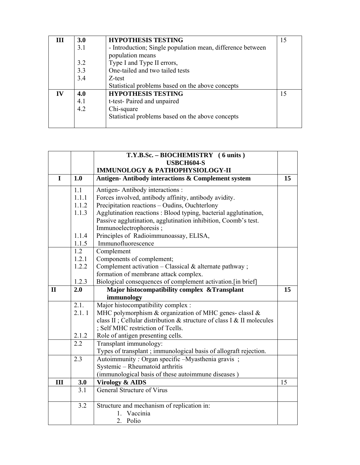| III       | <b>3.0</b><br>3.1<br>3.2<br>3.3<br>3.4 | <b>HYPOTHESIS TESTING</b><br>- Introduction; Single population mean, difference between<br>population means<br>Type I and Type II errors,<br>One-tailed and two tailed tests<br>Z-test | 15 |
|-----------|----------------------------------------|----------------------------------------------------------------------------------------------------------------------------------------------------------------------------------------|----|
| $\bf{IV}$ | 4.0<br>4.1<br>4.2                      | Statistical problems based on the above concepts<br><b>HYPOTHESIS TESTING</b><br>t-test- Paired and unpaired<br>Chi-square<br>Statistical problems based on the above concepts         | 15 |

|              |       | T.Y.B.Sc. - BIOCHEMISTRY (6 units)                                     |    |
|--------------|-------|------------------------------------------------------------------------|----|
|              |       | USBCH604-S                                                             |    |
|              |       | <b>IMMUNOLOGY &amp; PATHOPHYSIOLOGY-II</b>                             |    |
| I            | 1.0   | Antigen-Antibody interactions & Complement system                      | 15 |
|              | 1.1   | Antigen-Antibody interactions:                                         |    |
|              | 1.1.1 | Forces involved, antibody affinity, antibody avidity.                  |    |
|              | 1.1.2 | Precipitation reactions - Oudins, Ouchterlony                          |    |
|              | 1.1.3 | Agglutination reactions: Blood typing, bacterial agglutination,        |    |
|              |       | Passive agglutination, agglutination inhibition, Coomb's test.         |    |
|              |       | Immunoelectrophoresis;                                                 |    |
|              | 1.1.4 | Principles of Radioimmunoassay, ELISA,                                 |    |
|              | 1.1.5 | Immunofluorescence                                                     |    |
|              | 1.2   | Complement                                                             |    |
|              | 1.2.1 | Components of complement;                                              |    |
|              | 1.2.2 | Complement activation $-$ Classical $\&$ alternate pathway;            |    |
|              |       | formation of membrane attack complex.                                  |    |
|              | 1.2.3 | Biological consequences of complement activation.[in brief]            |    |
| $\mathbf{I}$ | 2.0   | Major histocompatibility complex & Transplant                          | 15 |
|              |       | immunology                                                             |    |
|              |       |                                                                        |    |
|              | 2.1.  | Major histocompatibility complex :                                     |    |
|              | 2.1.1 | MHC polymorphism & organization of MHC genes-classI &                  |    |
|              |       | class II ; Cellular distribution & structure of class I & II molecules |    |
|              |       | ; Self MHC restriction of Tcells.                                      |    |
|              | 2.1.2 | Role of antigen presenting cells.                                      |    |
|              | 2.2   | Transplant immunology:                                                 |    |
|              |       | Types of transplant ; immunological basis of allograft rejection.      |    |
|              | 2.3   | Autoimmunity: Organ specific -Myasthenia gravis;                       |    |
|              |       | Systemic - Rheumatoid arthritis                                        |    |
|              |       | (immunological basis of these autoimmune diseases)                     |    |
| III          | 3.0   | <b>Virology &amp; AIDS</b>                                             | 15 |
|              | 3.1   | <b>General Structure of Virus</b>                                      |    |
|              | 3.2   | Structure and mechanism of replication in:                             |    |
|              |       | 1. Vaccinia                                                            |    |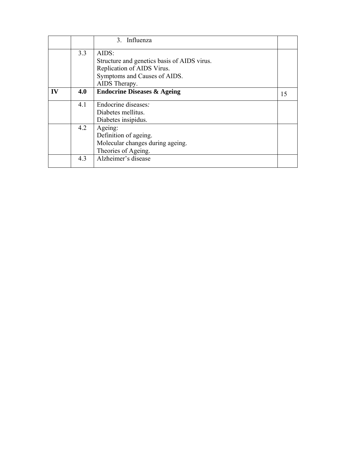|           |     | 3. Influenza                                |    |
|-----------|-----|---------------------------------------------|----|
|           | 3.3 | AIDS:                                       |    |
|           |     | Structure and genetics basis of AIDS virus. |    |
|           |     | Replication of AIDS Virus.                  |    |
|           |     | Symptoms and Causes of AIDS.                |    |
|           |     | AIDS Therapy.                               |    |
| $\bf{IV}$ | 4.0 | <b>Endocrine Diseases &amp; Ageing</b>      | 15 |
|           | 4.1 | Endocrine diseases.                         |    |
|           |     | Diabetes mellitus.                          |    |
|           |     | Diabetes insipidus.                         |    |
|           | 4.2 | Ageing:                                     |    |
|           |     | Definition of ageing.                       |    |
|           |     | Molecular changes during ageing.            |    |
|           |     | Theories of Ageing.                         |    |
|           | 4.3 | Alzheimer's disease                         |    |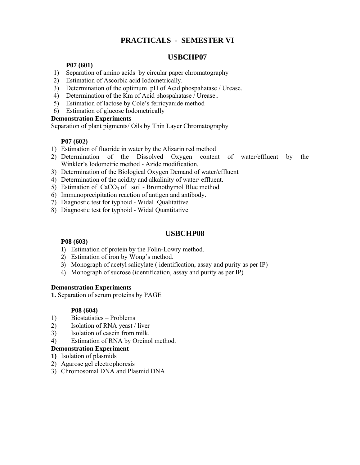### **PRACTICALS - SEMESTER VI**

#### **USBCHP07**

#### **P07 (601)**

- 1) Separation of amino acids by circular paper chromatography
- 2) Estimation of Ascorbic acid Iodometrically.
- 3) Determination of the optimum pH of Acid phospahatase / Urease.
- 4) Determination of the Km of Acid phospahatase / Urease..
- 5) Estimation of lactose by Cole's ferricyanide method
- 6) Estimation of glucose Iodometrically

#### **Demonstration Experiments**

Separation of plant pigments/ Oils by Thin Layer Chromatography

#### **P07 (602)**

- 1) Estimation of fluoride in water by the Alizarin red method
- 2) Determination of the Dissolved Oxygen content of water/effluent by the Winkler's Iodometric method - Azide modification.
- 3) Determination of the Biological Oxygen Demand of water/effluent
- 4) Determination of the acidity and alkalinity of water/ effluent.
- 5) Estimation of  $CaCO<sub>3</sub>$  of soil Bromothymol Blue method
- 6) Immunoprecipitation reaction of antigen and antibody.
- 7) Diagnostic test for typhoid Widal Qualitattive
- 8) Diagnostic test for typhoid Widal Quantitative

#### **USBCHP08**

#### **P08 (603)**

- 1) Estimation of protein by the Folin-Lowry method.
- 2) Estimation of iron by Wong's method.
- 3) Monograph of acetyl salicylate ( identification, assay and purity as per IP)
- 4) Monograph of sucrose (identification, assay and purity as per IP)

#### **Demonstration Experiments**

**1.** Separation of serum proteins by PAGE

#### **P08 (604)**

- 1) Biostatistics Problems
- 2) Isolation of RNA yeast / liver
- 3) Isolation of casein from milk.
- 4) Estimation of RNA by Orcinol method.

#### **Demonstration Experiment**

- **1)** Isolation of plasmids
- 2) Agarose gel electrophoresis
- 3) Chromosomal DNA and Plasmid DNA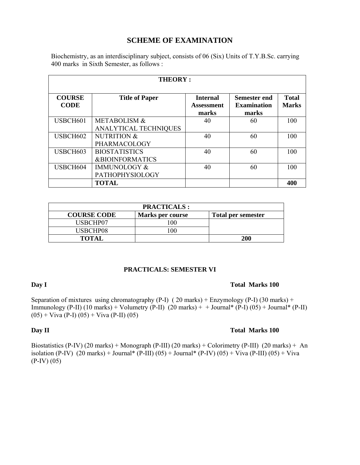#### **SCHEME OF EXAMINATION**

Biochemistry, as an interdisciplinary subject, consists of 06 (Six) Units of T.Y.B.Sc. carrying 400 marks in Sixth Semester, as follows :

| <b>THEORY:</b>               |                                                         |                                        |                                             |                              |
|------------------------------|---------------------------------------------------------|----------------------------------------|---------------------------------------------|------------------------------|
| <b>COURSE</b><br><b>CODE</b> | <b>Title of Paper</b>                                   | <b>Internal</b><br>Assessment<br>marks | Semester end<br><b>Examination</b><br>marks | <b>Total</b><br><b>Marks</b> |
| USBCH601                     | <b>METABOLISM &amp;</b><br><b>ANALYTICAL TECHNIQUES</b> | 40                                     | 60                                          | 100                          |
| USBCH602                     | <b>NUTRITION &amp;</b><br>PHARMACOLOGY                  | 40                                     | 60                                          | 100                          |
| USBCH603                     | <b>BIOSTATISTICS</b><br><b>&amp;BIOINFORMATICS</b>      | 40                                     | 60                                          | 100                          |
| USBCH604                     | <b>IMMUNOLOGY &amp;</b><br><b>PATHOPHYSIOLOGY</b>       | 40                                     | 60                                          | 100                          |
|                              | <b>TOTAL</b>                                            |                                        |                                             | 400                          |

| <b>PRACTICALS:</b> |                         |                           |  |  |
|--------------------|-------------------------|---------------------------|--|--|
| <b>COURSE CODE</b> | <b>Marks per course</b> | <b>Total per semester</b> |  |  |
| USBCHP07           | 100                     |                           |  |  |
| USBCHP08           | 100                     |                           |  |  |
| <b>TOTAL</b>       |                         | 200                       |  |  |

#### **PRACTICALS: SEMESTER VI**

#### **Day I** Total Marks 100

Separation of mixtures using chromatography (P-I) (20 marks) + Enzymology (P-I) (30 marks) + Immunology (P-II) (10 marks) + Volumetry (P-II) (20 marks) + + Journal\* (P-I) (05) + Journal\* (P-II)  $(05) +$  Viva (P-I)  $(05) +$  Viva (P-II)  $(05)$ 

#### **Day II** Total Marks 100

Biostatistics (P-IV) (20 marks) + Monograph (P-III) (20 marks) + Colorimetry (P-III) (20 marks) + An isolation (P-IV)  $(20 \text{ marks}) + \text{Journal*} (P-III) (05) + \text{Journal*} (P-IV) (05) + \text{Viva} (P-III) (05) + \text{Viva}$ (P-IV) (05)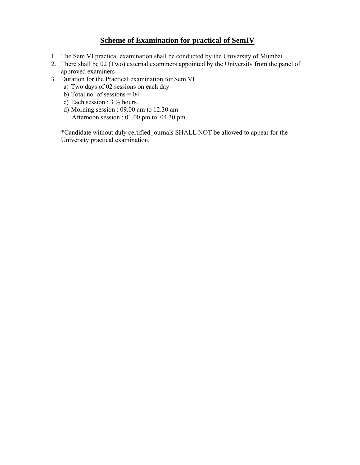#### **Scheme of Examination for practical of SemIV**

- 1. The Sem VI practical examination shall be conducted by the University of Mumbai
- 2. There shall be 02 (Two) external examiners appointed by the University from the panel of approved examiners
- 3. Duration for the Practical examination for Sem VI
	- a) Two days of 02 sessions on each day
	- b) Total no. of sessions  $= 04$
	- c) Each session : 3 ½ hours.
	- d) Morning session : 09.00 am to 12.30 am Afternoon session : 01.00 pm to 04.30 pm.

\*Candidate without duly certified journals SHALL NOT be allowed to appear for the University practical examination.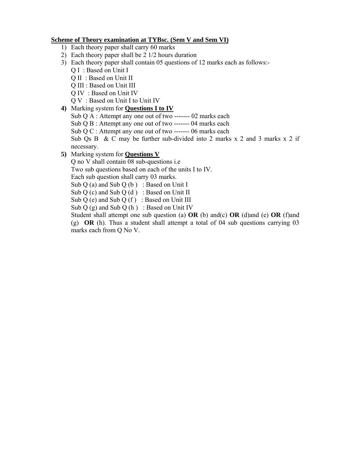#### **Scheme of Theory examination at TYBsc. (Sem V and Sem VI)**

- 1) Each theory paper shall carry 60 marks
- 2) Each theory paper shall be 2 1/2 hours duration
- 3) Each theory paper shall contain 05 questions of 12 marks each as follows:-
	- Q I : Based on Unit I
	- Q II : Based on Unit II
	- Q III : Based on Unit III
	- Q IV : Based on Unit IV
	- Q V : Based on Unit I to Unit IV
- **4)** Marking system for **Questions I to IV** 
	- Sub Q A : Attempt any one out of two ------- 02 marks each
	- Sub O B : Attempt any one out of two ------- 04 marks each
	- Sub Q C : Attempt any one out of two ------- 06 marks each

Sub Qs B & C may be further sub-divided into 2 marks x 2 and 3 marks x 2 if necessary.

**5)** Marking system for **Questions V** 

Q no V shall contain 08 sub-questions i.e

Two sub questions based on each of the units I to IV.

Each sub question shall carry 03 marks.

Sub  $Q$  (a) and Sub  $Q$  (b) : Based on Unit I

Sub  $Q$  (c) and Sub  $Q$  (d) : Based on Unit II

Sub  $Q$  (e) and Sub  $Q$  (f) : Based on Unit III

Sub  $Q(g)$  and Sub  $Q(h)$ : Based on Unit IV

Student shall attempt one sub question (a) **OR** (b) and(c) **OR** (d)and (e) **OR** (f)and (g) **OR** (h). Thus a student shall attempt a total of 04 sub questions carrying 03 marks each from Q No V.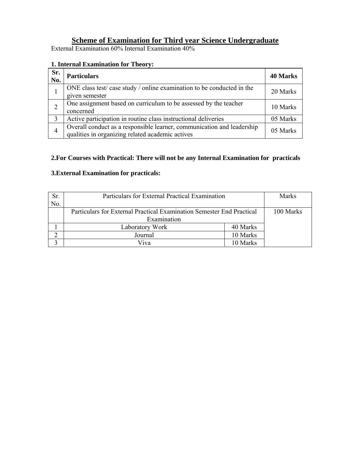### **Scheme of Examination for Third year Science Undergraduate**

External Examination 60% Internal Examination 40%

#### **1. Internal Examination for Theory:**

| Sr.<br>No. | <b>Particulars</b>                                                                                                         | <b>40 Marks</b> |
|------------|----------------------------------------------------------------------------------------------------------------------------|-----------------|
|            | ONE class test/case study / online examination to be conducted in the<br>given semester                                    | 20 Marks        |
|            | One assignment based on curriculum to be assessed by the teacher<br>concerned                                              | 10 Marks        |
|            | Active participation in routine class instructional deliveries                                                             | 05 Marks        |
| 4          | Overall conduct as a responsible learner, communication and leadership<br>qualities in organizing related academic actives | 05 Marks        |

#### **2.For Courses with Practical: There will not be any Internal Examination for practicals**

#### **3.External Examination for practicals:**

| Sr.<br>No. | Particulars for External Practical Examination                        |          | <b>Marks</b> |
|------------|-----------------------------------------------------------------------|----------|--------------|
|            | Particulars for External Practical Examination Semester End Practical |          | 100 Marks    |
|            | Examination                                                           |          |              |
|            | Laboratory Work                                                       | 40 Marks |              |
|            | Journal                                                               | 10 Marks |              |
|            | Viva                                                                  | 10 Marks |              |